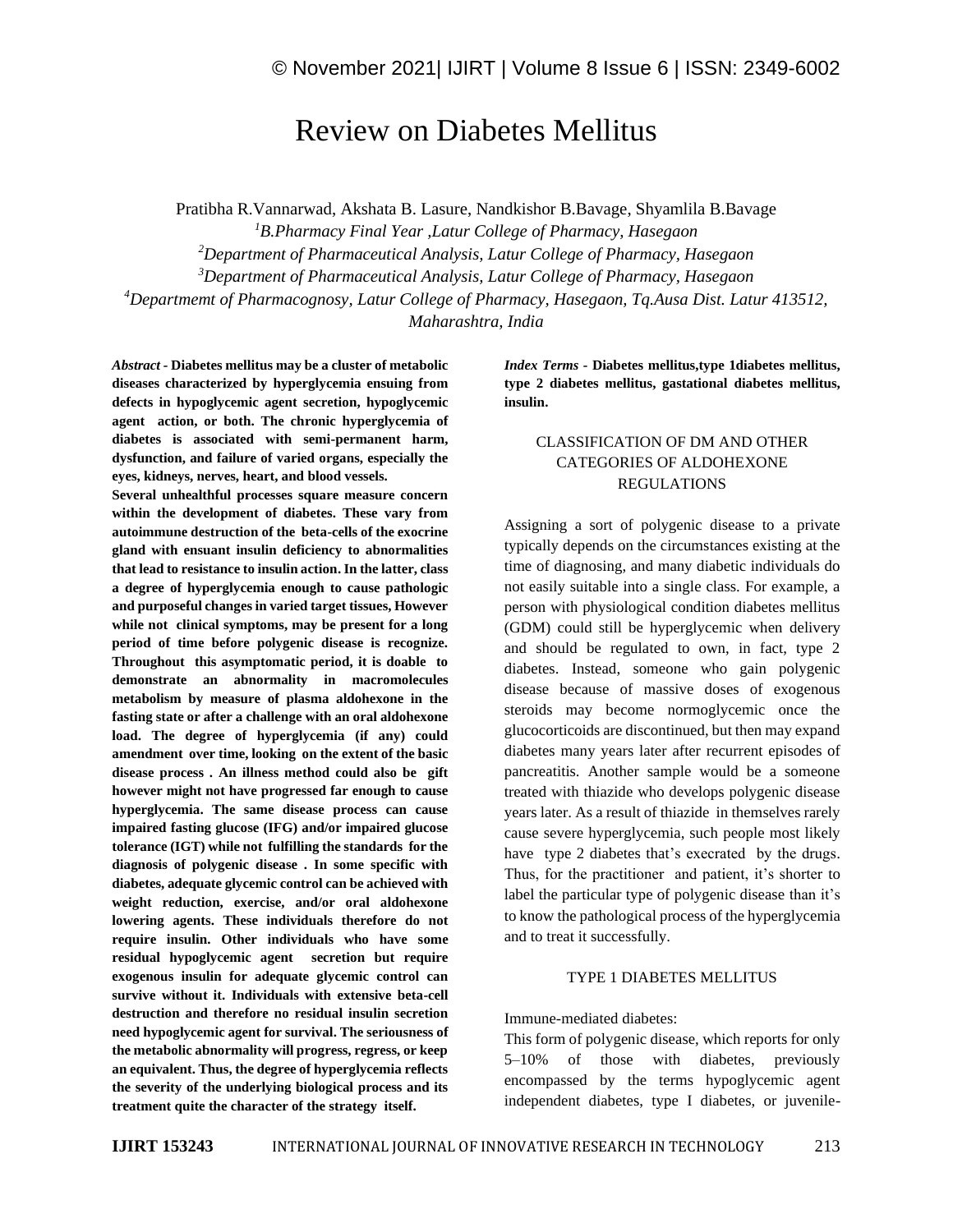# Review on Diabetes Mellitus

Pratibha R.Vannarwad, Akshata B. Lasure, Nandkishor B.Bavage, Shyamlila B.Bavage

*B.Pharmacy Final Year ,Latur College of Pharmacy, Hasegaon Department of Pharmaceutical Analysis, Latur College of Pharmacy, Hasegaon Department of Pharmaceutical Analysis, Latur College of Pharmacy, Hasegaon Departmemt of Pharmacognosy, Latur College of Pharmacy, Hasegaon, Tq.Ausa Dist. Latur 413512, Maharashtra, India*

*Abstract -* **Diabetes mellitus may be a cluster of metabolic diseases characterized by hyperglycemia ensuing from defects in hypoglycemic agent secretion, hypoglycemic agent action, or both. The chronic hyperglycemia of diabetes is associated with semi-permanent harm, dysfunction, and failure of varied organs, especially the eyes, kidneys, nerves, heart, and blood vessels.**

**Several unhealthful processes square measure concern within the development of diabetes. These vary from autoimmune destruction of the beta-cells of the exocrine gland with ensuant insulin deficiency to abnormalities that lead to resistance to insulin action. In the latter, class a degree of hyperglycemia enough to cause pathologic and purposeful changes in varied target tissues, However while not clinical symptoms, may be present for a long period of time before polygenic disease is recognize. Throughout this asymptomatic period, it is doable to demonstrate an abnormality in macromolecules metabolism by measure of plasma aldohexone in the fasting state or after a challenge with an oral aldohexone load. The degree of hyperglycemia (if any) could amendment over time, looking on the extent of the basic disease process . An illness method could also be gift however might not have progressed far enough to cause hyperglycemia. The same disease process can cause impaired fasting glucose (IFG) and/or impaired glucose tolerance (IGT) while not fulfilling the standards for the diagnosis of polygenic disease . In some specific with diabetes, adequate glycemic control can be achieved with weight reduction, exercise, and/or oral aldohexone lowering agents. These individuals therefore do not require insulin. Other individuals who have some residual hypoglycemic agent secretion but require exogenous insulin for adequate glycemic control can survive without it. Individuals with extensive beta-cell destruction and therefore no residual insulin secretion need hypoglycemic agent for survival. The seriousness of the metabolic abnormality will progress, regress, or keep an equivalent. Thus, the degree of hyperglycemia reflects the severity of the underlying biological process and its treatment quite the character of the strategy itself.**

*Index Terms -* **Diabetes mellitus,type 1diabetes mellitus, type 2 diabetes mellitus, gastational diabetes mellitus, insulin.**

## CLASSIFICATION OF DM AND OTHER CATEGORIES OF ALDOHEXONE REGULATIONS

Assigning a sort of polygenic disease to a private typically depends on the circumstances existing at the time of diagnosing, and many diabetic individuals do not easily suitable into a single class. For example, a person with physiological condition diabetes mellitus (GDM) could still be hyperglycemic when delivery and should be regulated to own, in fact, type 2 diabetes. Instead, someone who gain polygenic disease because of massive doses of exogenous steroids may become normoglycemic once the glucocorticoids are discontinued, but then may expand diabetes many years later after recurrent episodes of pancreatitis. Another sample would be a someone treated with thiazide who develops polygenic disease years later. As a result of thiazide in themselves rarely cause severe hyperglycemia, such people most likely have type 2 diabetes that's execrated by the drugs. Thus, for the practitioner and patient, it's shorter to label the particular type of polygenic disease than it's to know the pathological process of the hyperglycemia and to treat it successfully.

### TYPE 1 DIABETES MELLITUS

Immune-mediated diabetes:

This form of polygenic disease, which reports for only 5–10% of those with diabetes, previously encompassed by the terms hypoglycemic agent independent diabetes, type I diabetes, or juvenile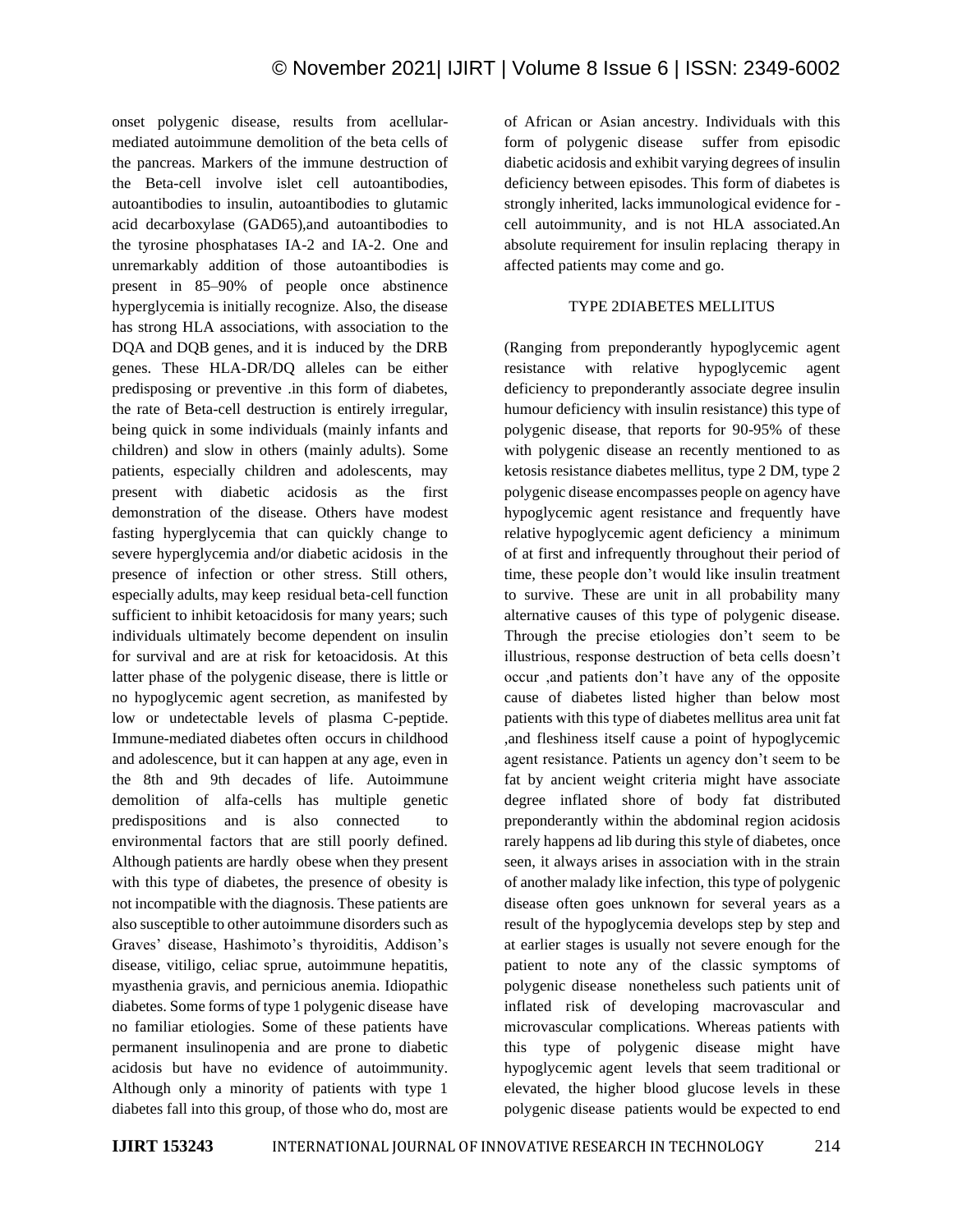onset polygenic disease, results from acellularmediated autoimmune demolition of the beta cells of the pancreas. Markers of the immune destruction of the Beta-cell involve islet cell autoantibodies, autoantibodies to insulin, autoantibodies to glutamic acid decarboxylase (GAD65),and autoantibodies to the tyrosine phosphatases IA-2 and IA-2. One and unremarkably addition of those autoantibodies is present in 85–90% of people once abstinence hyperglycemia is initially recognize. Also, the disease has strong HLA associations, with association to the DQA and DQB genes, and it is induced by the DRB genes. These HLA-DR/DQ alleles can be either predisposing or preventive .in this form of diabetes, the rate of Beta-cell destruction is entirely irregular, being quick in some individuals (mainly infants and children) and slow in others (mainly adults). Some patients, especially children and adolescents, may present with diabetic acidosis as the first demonstration of the disease. Others have modest fasting hyperglycemia that can quickly change to severe hyperglycemia and/or diabetic acidosis in the presence of infection or other stress. Still others, especially adults, may keep residual beta-cell function sufficient to inhibit ketoacidosis for many years; such individuals ultimately become dependent on insulin for survival and are at risk for ketoacidosis. At this latter phase of the polygenic disease, there is little or no hypoglycemic agent secretion, as manifested by low or undetectable levels of plasma C-peptide. Immune-mediated diabetes often occurs in childhood and adolescence, but it can happen at any age, even in the 8th and 9th decades of life. Autoimmune demolition of alfa-cells has multiple genetic predispositions and is also connected to environmental factors that are still poorly defined. Although patients are hardly obese when they present with this type of diabetes, the presence of obesity is not incompatible with the diagnosis. These patients are also susceptible to other autoimmune disorders such as Graves' disease, Hashimoto's thyroiditis, Addison's disease, vitiligo, celiac sprue, autoimmune hepatitis, myasthenia gravis, and pernicious anemia. Idiopathic diabetes. Some forms of type 1 polygenic disease have no familiar etiologies. Some of these patients have permanent insulinopenia and are prone to diabetic acidosis but have no evidence of autoimmunity. Although only a minority of patients with type 1 diabetes fall into this group, of those who do, most are of African or Asian ancestry. Individuals with this form of polygenic disease suffer from episodic diabetic acidosis and exhibit varying degrees of insulin deficiency between episodes. This form of diabetes is strongly inherited, lacks immunological evidence for cell autoimmunity, and is not HLA associated.An absolute requirement for insulin replacing therapy in affected patients may come and go.

#### TYPE 2DIABETES MELLITUS

(Ranging from preponderantly hypoglycemic agent resistance with relative hypoglycemic agent deficiency to preponderantly associate degree insulin humour deficiency with insulin resistance) this type of polygenic disease, that reports for 90-95% of these with polygenic disease an recently mentioned to as ketosis resistance diabetes mellitus, type 2 DM, type 2 polygenic disease encompasses people on agency have hypoglycemic agent resistance and frequently have relative hypoglycemic agent deficiency a minimum of at first and infrequently throughout their period of time, these people don't would like insulin treatment to survive. These are unit in all probability many alternative causes of this type of polygenic disease. Through the precise etiologies don't seem to be illustrious, response destruction of beta cells doesn't occur ,and patients don't have any of the opposite cause of diabetes listed higher than below most patients with this type of diabetes mellitus area unit fat ,and fleshiness itself cause a point of hypoglycemic agent resistance. Patients un agency don't seem to be fat by ancient weight criteria might have associate degree inflated shore of body fat distributed preponderantly within the abdominal region acidosis rarely happens ad lib during this style of diabetes, once seen, it always arises in association with in the strain of another malady like infection, this type of polygenic disease often goes unknown for several years as a result of the hypoglycemia develops step by step and at earlier stages is usually not severe enough for the patient to note any of the classic symptoms of polygenic disease nonetheless such patients unit of inflated risk of developing macrovascular and microvascular complications. Whereas patients with this type of polygenic disease might have hypoglycemic agent levels that seem traditional or elevated, the higher blood glucose levels in these polygenic disease patients would be expected to end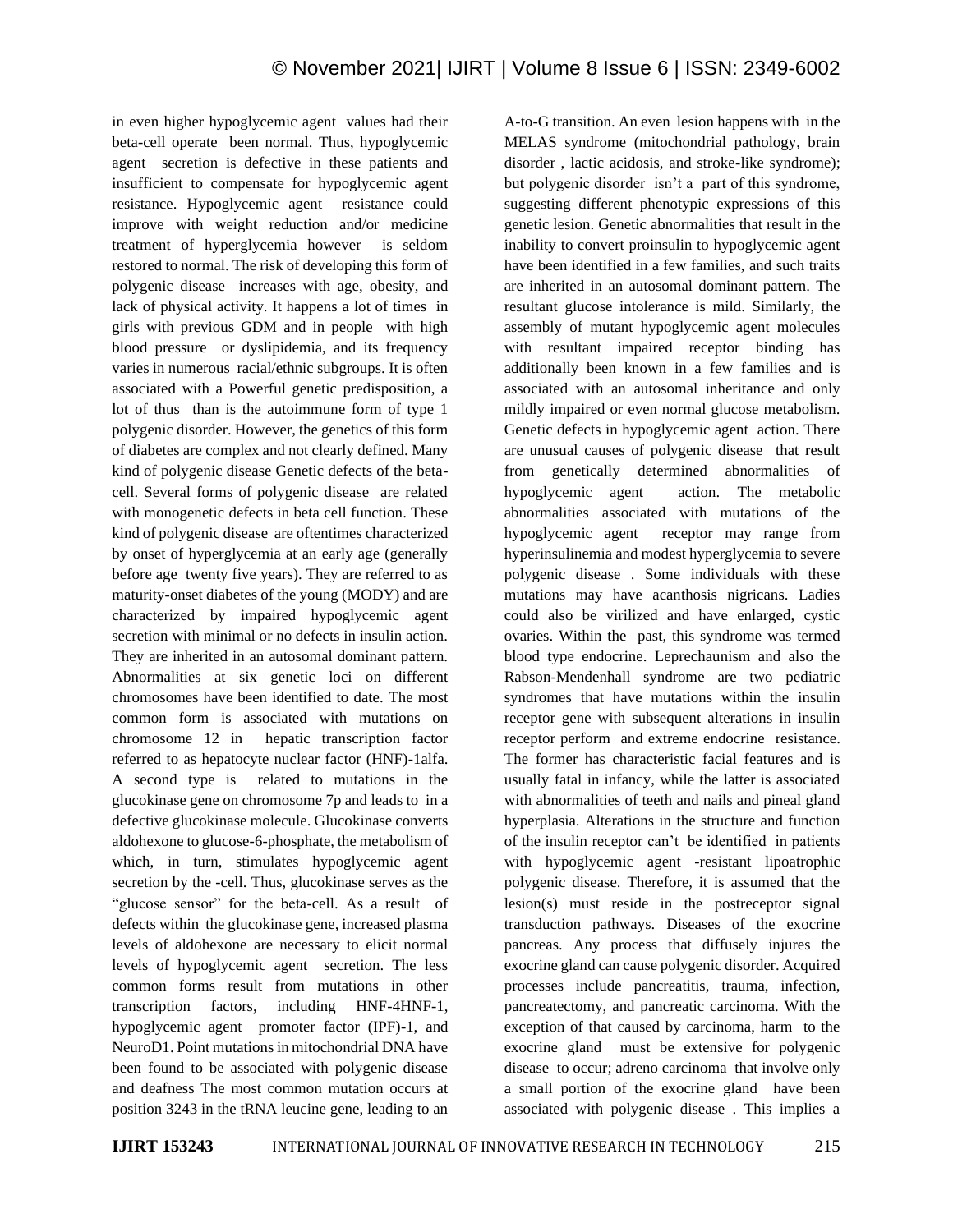in even higher hypoglycemic agent values had their beta-cell operate been normal. Thus, hypoglycemic agent secretion is defective in these patients and insufficient to compensate for hypoglycemic agent resistance. Hypoglycemic agent resistance could improve with weight reduction and/or medicine treatment of hyperglycemia however is seldom restored to normal. The risk of developing this form of polygenic disease increases with age, obesity, and lack of physical activity. It happens a lot of times in girls with previous GDM and in people with high blood pressure or dyslipidemia, and its frequency varies in numerous racial/ethnic subgroups. It is often associated with a Powerful genetic predisposition, a lot of thus than is the autoimmune form of type 1 polygenic disorder. However, the genetics of this form of diabetes are complex and not clearly defined. Many kind of polygenic disease Genetic defects of the betacell. Several forms of polygenic disease are related with monogenetic defects in beta cell function. These kind of polygenic disease are oftentimes characterized by onset of hyperglycemia at an early age (generally before age twenty five years). They are referred to as maturity-onset diabetes of the young (MODY) and are characterized by impaired hypoglycemic agent secretion with minimal or no defects in insulin action. They are inherited in an autosomal dominant pattern. Abnormalities at six genetic loci on different chromosomes have been identified to date. The most common form is associated with mutations on chromosome 12 in hepatic transcription factor referred to as hepatocyte nuclear factor (HNF)-1alfa. A second type is related to mutations in the glucokinase gene on chromosome 7p and leads to in a defective glucokinase molecule. Glucokinase converts aldohexone to glucose-6-phosphate, the metabolism of which, in turn, stimulates hypoglycemic agent secretion by the -cell. Thus, glucokinase serves as the "glucose sensor" for the beta-cell. As a result of defects within the glucokinase gene, increased plasma levels of aldohexone are necessary to elicit normal levels of hypoglycemic agent secretion. The less common forms result from mutations in other transcription factors, including HNF-4HNF-1, hypoglycemic agent promoter factor (IPF)-1, and NeuroD1. Point mutations in mitochondrial DNA have been found to be associated with polygenic disease and deafness The most common mutation occurs at position 3243 in the tRNA leucine gene, leading to an

A-to-G transition. An even lesion happens with in the MELAS syndrome (mitochondrial pathology, brain disorder , lactic acidosis, and stroke-like syndrome); but polygenic disorder isn't a part of this syndrome, suggesting different phenotypic expressions of this genetic lesion. Genetic abnormalities that result in the inability to convert proinsulin to hypoglycemic agent have been identified in a few families, and such traits are inherited in an autosomal dominant pattern. The resultant glucose intolerance is mild. Similarly, the assembly of mutant hypoglycemic agent molecules with resultant impaired receptor binding has additionally been known in a few families and is associated with an autosomal inheritance and only mildly impaired or even normal glucose metabolism. Genetic defects in hypoglycemic agent action. There are unusual causes of polygenic disease that result from genetically determined abnormalities of hypoglycemic agent action. The metabolic abnormalities associated with mutations of the hypoglycemic agent receptor may range from hyperinsulinemia and modest hyperglycemia to severe polygenic disease . Some individuals with these mutations may have acanthosis nigricans. Ladies could also be virilized and have enlarged, cystic ovaries. Within the past, this syndrome was termed blood type endocrine. Leprechaunism and also the Rabson-Mendenhall syndrome are two pediatric syndromes that have mutations within the insulin receptor gene with subsequent alterations in insulin receptor perform and extreme endocrine resistance. The former has characteristic facial features and is usually fatal in infancy, while the latter is associated with abnormalities of teeth and nails and pineal gland hyperplasia. Alterations in the structure and function of the insulin receptor can't be identified in patients with hypoglycemic agent -resistant lipoatrophic polygenic disease. Therefore, it is assumed that the lesion(s) must reside in the postreceptor signal transduction pathways. Diseases of the exocrine pancreas. Any process that diffusely injures the exocrine gland can cause polygenic disorder. Acquired processes include pancreatitis, trauma, infection, pancreatectomy, and pancreatic carcinoma. With the exception of that caused by carcinoma, harm to the exocrine gland must be extensive for polygenic disease to occur; adreno carcinoma that involve only a small portion of the exocrine gland have been associated with polygenic disease . This implies a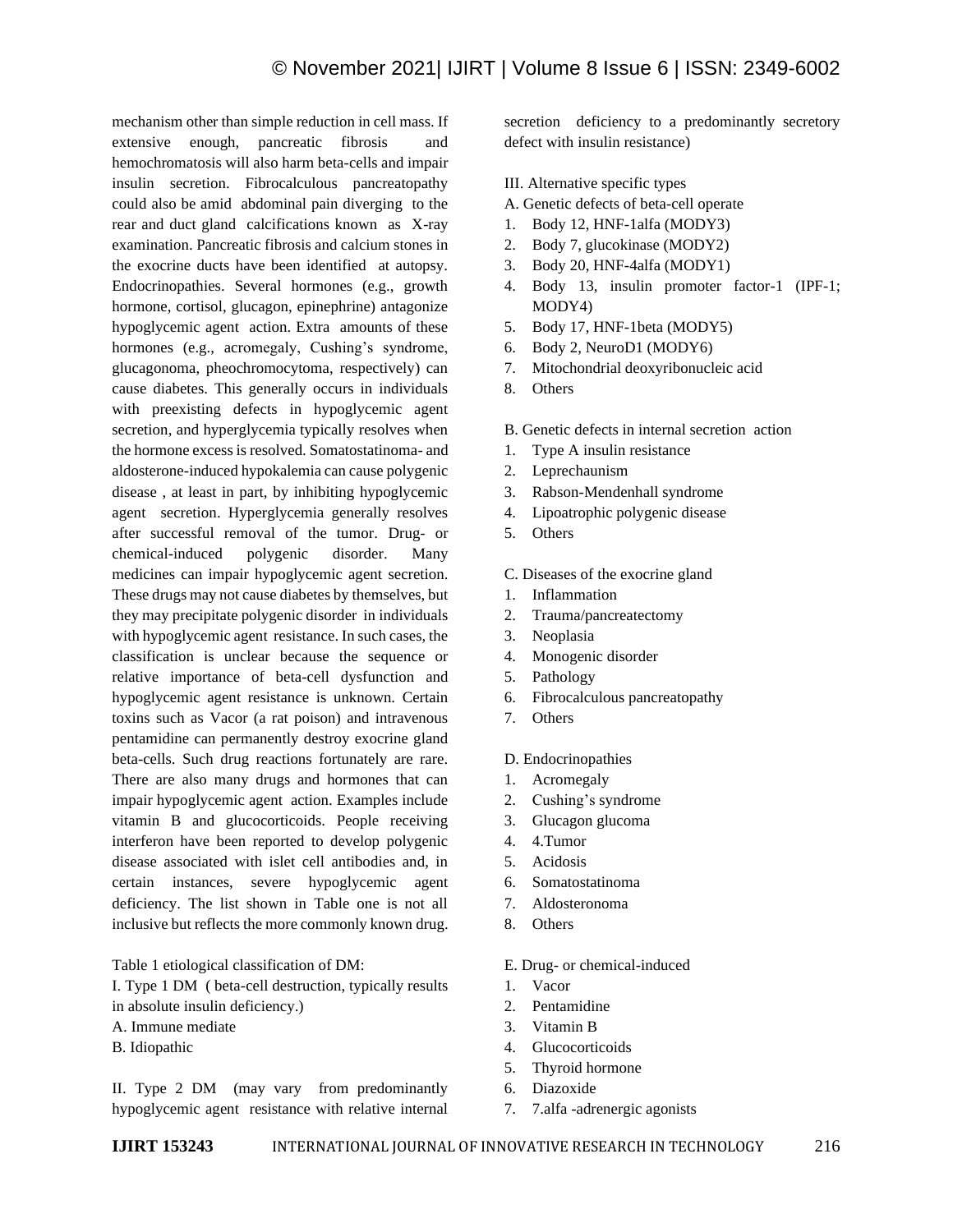mechanism other than simple reduction in cell mass. If extensive enough, pancreatic fibrosis and hemochromatosis will also harm beta-cells and impair insulin secretion. Fibrocalculous pancreatopathy could also be amid abdominal pain diverging to the rear and duct gland calcifications known as X-ray examination. Pancreatic fibrosis and calcium stones in the exocrine ducts have been identified at autopsy. Endocrinopathies. Several hormones (e.g., growth hormone, cortisol, glucagon, epinephrine) antagonize hypoglycemic agent action. Extra amounts of these hormones (e.g., acromegaly, Cushing's syndrome, glucagonoma, pheochromocytoma, respectively) can cause diabetes. This generally occurs in individuals with preexisting defects in hypoglycemic agent secretion, and hyperglycemia typically resolves when the hormone excess is resolved. Somatostatinoma- and aldosterone-induced hypokalemia can cause polygenic disease , at least in part, by inhibiting hypoglycemic agent secretion. Hyperglycemia generally resolves after successful removal of the tumor. Drug- or chemical-induced polygenic disorder. Many medicines can impair hypoglycemic agent secretion. These drugs may not cause diabetes by themselves, but they may precipitate polygenic disorder in individuals with hypoglycemic agent resistance. In such cases, the classification is unclear because the sequence or relative importance of beta-cell dysfunction and hypoglycemic agent resistance is unknown. Certain toxins such as Vacor (a rat poison) and intravenous pentamidine can permanently destroy exocrine gland beta-cells. Such drug reactions fortunately are rare. There are also many drugs and hormones that can impair hypoglycemic agent action. Examples include vitamin B and glucocorticoids. People receiving interferon have been reported to develop polygenic disease associated with islet cell antibodies and, in certain instances, severe hypoglycemic agent deficiency. The list shown in Table one is not all inclusive but reflects the more commonly known drug.

Table 1 etiological classification of DM:

I. Type 1 DM ( beta-cell destruction, typically results

- in absolute insulin deficiency.)
- A. Immune mediate
- B. Idiopathic

II. Type 2 DM (may vary from predominantly hypoglycemic agent resistance with relative internal secretion deficiency to a predominantly secretory defect with insulin resistance)

- III. Alternative specific types
- A. Genetic defects of beta-cell operate
- 1. Body 12, HNF-1alfa (MODY3)
- 2. Body 7, glucokinase (MODY2)
- 3. Body 20, HNF-4alfa (MODY1)
- 4. Body 13, insulin promoter factor-1 (IPF-1; MODY4)
- 5. Body 17, HNF-1beta (MODY5)
- 6. Body 2, NeuroD1 (MODY6)
- 7. Mitochondrial deoxyribonucleic acid
- 8. Others
- B. Genetic defects in internal secretion action
- 1. Type A insulin resistance
- 2. Leprechaunism
- 3. Rabson-Mendenhall syndrome
- 4. Lipoatrophic polygenic disease
- 5. Others

C. Diseases of the exocrine gland

- 1. Inflammation
- 2. Trauma/pancreatectomy
- 3. Neoplasia
- 4. Monogenic disorder
- 5. Pathology
- 6. Fibrocalculous pancreatopathy
- 7. Others

#### D. Endocrinopathies

- 1. Acromegaly
- 2. Cushing's syndrome
- 3. Glucagon glucoma
- 4. 4.Tumor
- 5. Acidosis
- 6. Somatostatinoma
- 7. Aldosteronoma
- 8. Others

#### E. Drug- or chemical-induced

- 1. Vacor
- 2. Pentamidine
- 3. Vitamin B
- 4. Glucocorticoids
- 5. Thyroid hormone
- 6. Diazoxide
- 7. 7.alfa -adrenergic agonists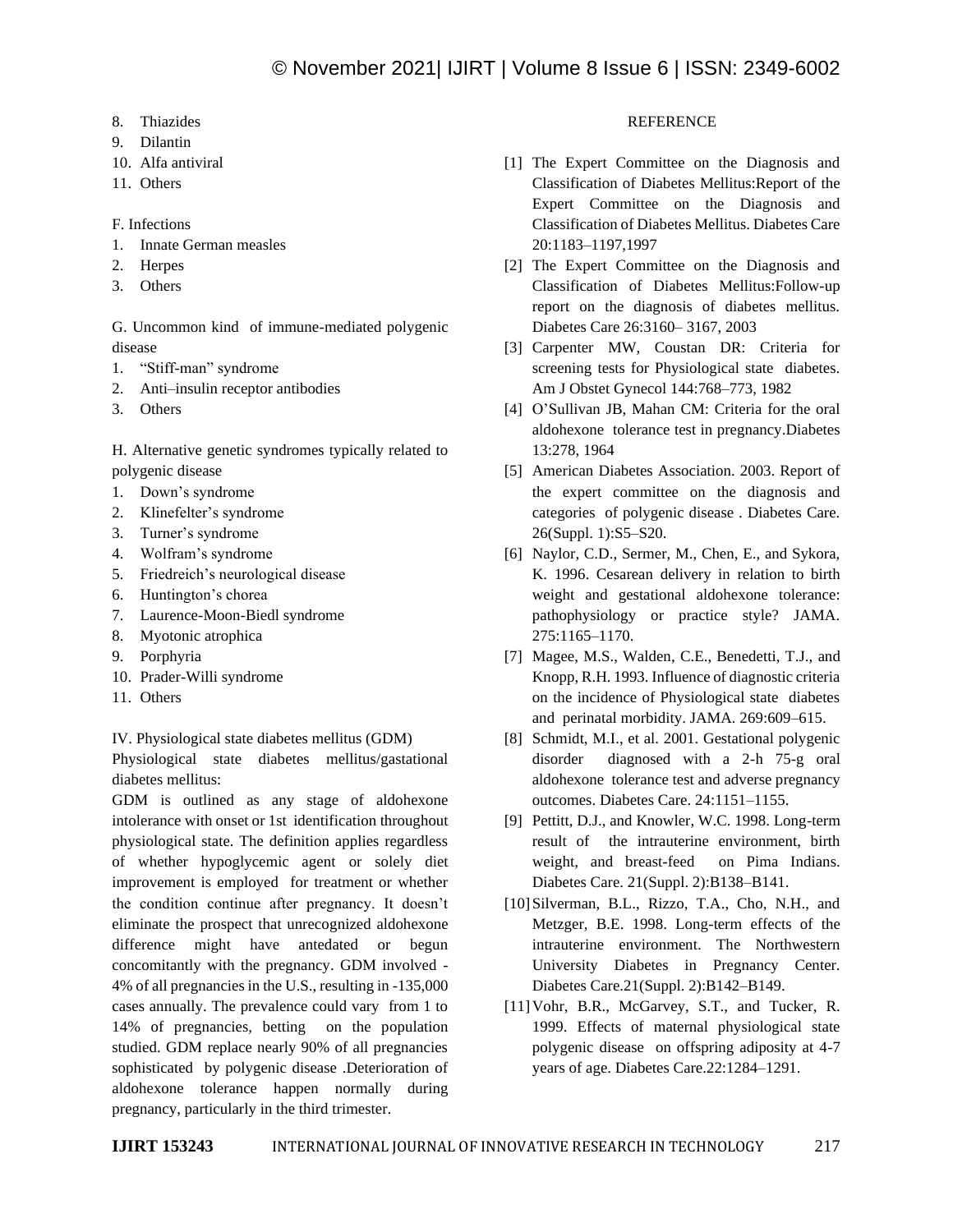- 8. Thiazides
- 9. Dilantin
- 10. Alfa antiviral
- 11. Others

F. Infections

- 1. Innate German measles
- 2. Herpes
- 3. Others

G. Uncommon kind of immune-mediated polygenic disease

- 1. "Stiff-man" syndrome
- 2. Anti–insulin receptor antibodies
- 3. Others

H. Alternative genetic syndromes typically related to polygenic disease

- 1. Down's syndrome
- 2. Klinefelter's syndrome
- 3. Turner's syndrome
- 4. Wolfram's syndrome
- 5. Friedreich's neurological disease
- 6. Huntington's chorea
- 7. Laurence-Moon-Biedl syndrome
- 8. Myotonic atrophica
- 9. Porphyria
- 10. Prader-Willi syndrome
- 11. Others

IV. Physiological state diabetes mellitus (GDM)

Physiological state diabetes mellitus/gastational diabetes mellitus:

GDM is outlined as any stage of aldohexone intolerance with onset or 1st identification throughout physiological state. The definition applies regardless of whether hypoglycemic agent or solely diet improvement is employed for treatment or whether the condition continue after pregnancy. It doesn't eliminate the prospect that unrecognized aldohexone difference might have antedated or begun concomitantly with the pregnancy. GDM involved - 4% of all pregnancies in the U.S., resulting in -135,000 cases annually. The prevalence could vary from 1 to 14% of pregnancies, betting on the population studied. GDM replace nearly 90% of all pregnancies sophisticated by polygenic disease .Deterioration of aldohexone tolerance happen normally during pregnancy, particularly in the third trimester.

## **REFERENCE**

- [1] The Expert Committee on the Diagnosis and Classification of Diabetes Mellitus:Report of the Expert Committee on the Diagnosis and Classification of Diabetes Mellitus. Diabetes Care 20:1183–1197,1997
- [2] The Expert Committee on the Diagnosis and Classification of Diabetes Mellitus:Follow-up report on the diagnosis of diabetes mellitus. Diabetes Care 26:3160– 3167, 2003
- [3] Carpenter MW, Coustan DR: Criteria for screening tests for Physiological state diabetes. Am J Obstet Gynecol 144:768–773, 1982
- [4] O'Sullivan JB, Mahan CM: Criteria for the oral aldohexone tolerance test in pregnancy.Diabetes 13:278, 1964
- [5] American Diabetes Association. 2003. Report of the expert committee on the diagnosis and categories of polygenic disease . Diabetes Care. 26(Suppl. 1):S5–S20.
- [6] Naylor, C.D., Sermer, M., Chen, E., and Sykora, K. 1996. Cesarean delivery in relation to birth weight and gestational aldohexone tolerance: pathophysiology or practice style? JAMA. 275:1165–1170.
- [7] Magee, M.S., Walden, C.E., Benedetti, T.J., and Knopp, R.H. 1993. Influence of diagnostic criteria on the incidence of Physiological state diabetes and perinatal morbidity. JAMA. 269:609–615.
- [8] Schmidt, M.I., et al. 2001. Gestational polygenic disorder diagnosed with a 2-h 75-g oral aldohexone tolerance test and adverse pregnancy outcomes. Diabetes Care. 24:1151–1155.
- [9] Pettitt, D.J., and Knowler, W.C. 1998. Long-term result of the intrauterine environment, birth weight, and breast-feed on Pima Indians. Diabetes Care. 21(Suppl. 2):B138–B141.
- [10] Silverman, B.L., Rizzo, T.A., Cho, N.H., and Metzger, B.E. 1998. Long-term effects of the intrauterine environment. The Northwestern University Diabetes in Pregnancy Center. Diabetes Care.21(Suppl. 2):B142–B149.
- [11] Vohr, B.R., McGarvey, S.T., and Tucker, R. 1999. Effects of maternal physiological state polygenic disease on offspring adiposity at 4-7 years of age. Diabetes Care.22:1284–1291.